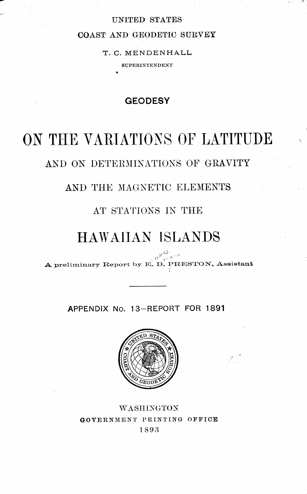### UNITED STATES

### COAST AND GEODETIC SURVEY

## T. C. MENDENHALL

SUPERINTENDENT

## **GEODESY**

# ON THE VARIATIONS OF LATITUDE

## AND ON DETERMINATIONS OF GRAVITY

## AND THE MAGNETIC ELEMENTS

## AT STATIONS IN THE

## HAWAIIAN ISLANDS

A preliminary Report by E. D. PRESTON, Assistant

APPENDIX No. 13-REPORT FOR 1891



## WASHINGTON GOVERNMENT PRINTING OFFICE 1893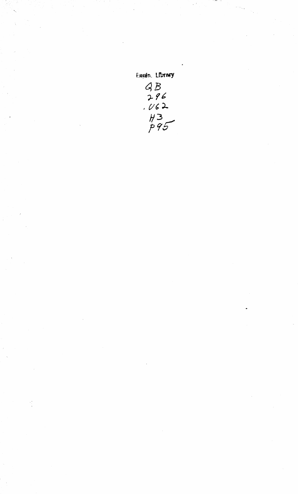Eagin, Library  $9B$ <br> $9B$ <br> $162$ <br> $162$ <br> $13$ <br> $795$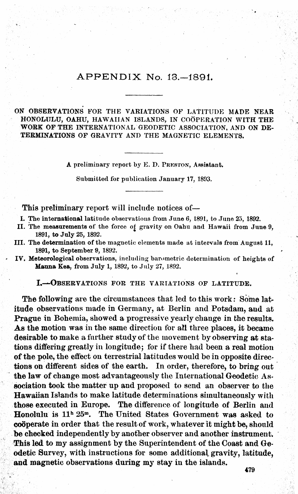### APPENDIX No.13.—1891.

#### ON OBSERVATIONS FOR THE VARIATIONS OF LATITUDE MADE NEAR HONOLULU, OAHU, HAWAIIAN ISLANDS, IN COOPERATION WITH THE WORK OF THE INTERNATIONAL GEODETIC ASSOCIATION, AND ON DE-TERMINATIONS OF GRAVITY AND THE MAGNETIC ELEMENTS.

A preliminary report by E. D. PRESTON, Assistant.

Submitted for publication January 17, 1893.

This preliminary report will include notices of

I. The international latitude observations from June 6, 1891, to June 25, 1892.

- II. The measurements of the force of gravity on Oahu and Hawaii from June 9, 1891, to July 25, 1892.
- III. The determination of the magnetic elements made at intervals from August 11, 1891, to September 9, 1892.
- IV. Meteorological observations, including barometric determination of heights of Manna Kea, from July 1, 1892, to July 27, 1892.

L-—Observations fob the variations of latitude.

The following are the circumstances that led to this work : Some latitude observations made in Germany, at Berlin and Potsdam, and at Prague in Bohemia, showed a progressive yearly change in the results. As the motion was in the same direction for all three places, it became desirable to make a further study of the movement by observing at sta tions differing greatly in longitude; for if there had been a real motion of the pole, the effect on terrestrial latitudes would be in opposite directions on different sides of the earth. In order, therefore, to bring out the law of change most advantageously the International Geodetic Association took the matter up and proposed to send an observer to the Hawaiian Islands to make latitude determinations simultaneously with those executed in Europe. The difference of longitude of Berlin and Honolulu is  $11<sup>h</sup> 25<sup>m</sup>$ . The United States Government was asked to cooperate in order that the result of work, whatever it might be, should be checked independently by another observer and another instrument. This led to my assignment by the Superintendent of the Coast and Geodetic Survey, with instructions for some additional gravity, latitude, and magnetic observations during my stay in the islands.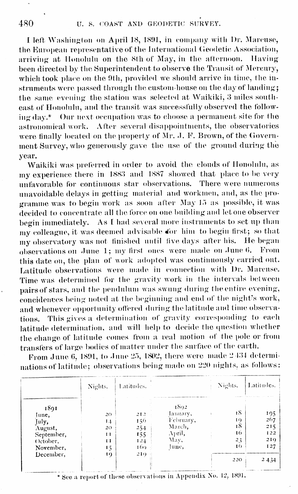I left Washington on April 18, 1891, in company with Dr. Marcuse, the European representative of the International Geodetic Association, arriving at Honolulu on the 8th of May, in the afternoon. Having been directed by the Superintendent to observe the Transit of Mercury, which took place on the 9th, provided we should arrive in time, the in struments were passed through the custom-house on the day of landing; the same evening the station was selected at Waikiki, 3 miles southeast of Honolulu, and the transit was successfully observed the follow ing day.\* Our next occupation was to choose <sup>a</sup> permanent site for the astronomical work. After several disappointments, the observatories were finally located on the property of Mr. J. F. Brown, of the Government Survey, who generously gave the use of the ground during the year.

Waikiki was preferred in order to avoid the clouds of Honolulu, as my experience there in 1883 and <sup>1887</sup> showed that place to be very unfavorable for continuous star observations. There were numerous unavoidable delays in getting material and workmen, and, as the pro gramme was to begin work as soon after May <sup>15</sup> as possible, it was decided to concentrate all the force on one building and let one observer begin immediately. As <sup>E</sup> had several more instruments to set up than my colleague, it was deemed advisable 4br him to begin first; so that my observatory was not finished until five days after his. He began observations on June 1; my first ones were made on June 6. From this date on, the plan of work adopted was continuously carried out. Latitude observations were made in connection with Dr. Marcuse. Time was determined for the gravity work in the intervals between pairs of stars, and the pendulum was swung during theentire evening, coneidenees being noted at the beginning and end of the night's work, and whenever opportunity offered during the latitude and time observations. This gives a determination of gravity corresponding to each latitude determination, and will help to decide the question whether the change of latitude comes from a real motion of the pole or from transfers of large bodies of matter under the surface of the earth.

From June 6, 1891, to June 25, 1802, there were made 2 434 determinations of latitude; observations being made on <sup>220</sup> nights, as follows:

|            | Nights.      | Latitudes. |           | Nights. | Latitudes. |
|------------|--------------|------------|-----------|---------|------------|
| 1891       |              |            | 1892      |         |            |
| June,      | 20           | 212        | lanuary,  | ιS      | 195        |
| July,      | 14           | 156        | February, | 19      | 267        |
| August,    | 20           | 254        | March,    | ı8      | 215        |
| September, | $\mathbf{I}$ | 155        | April,    | 16      | 122        |
| October,   | НΙ           | 124        | May,      | 23      | 210        |
| November,  | 15           | $169 -$    | lune,     | 16      | 127        |
| December,  | 19           | 210        |           | 220     | 2434       |

\* See a report of these observations in Appendix No. 12, 1891.

 $\blacksquare$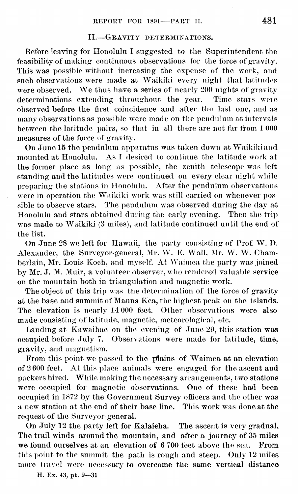### II. Gravity determinations.

Before leaving for Honolulu I suggested to the Superintendent the feasibility of making continuous observations for the force of gravity. This was possible without increasing the expense of the work, and such observations were made at Waikiki every night that latitudes were observed. We thus have a series of nearly 200 nights of gravity<br>determinations extending throughout the year. Time stars were determinations extending throughout the year. observed before the first coincidence and after the last one, and as many observations as possible were made on the pendulum at intervals between the latitude pairs, so that in all there are not far from <sup>1</sup> 000 measures of the force of gravity.

On June 15 the pendulum apparatus was taken down at Waikiki and mounted at Honolulu. As <sup>I</sup> desired to continue the latitude work at the former place as long as possible, the zenith telescope was left standing and the latitudes were continued on every clear night while preparing the stations in Honolulu. After the pendulum observations were in operation the Waikiki work was still carried on whenever possible to observe stars. The pendulum was observed during the day at Honolulu and stars obtained during the early evening. Then the trip was made to Waikiki (3 miles), and latitude continued until the end of the list.

On June <sup>28</sup> we left for Hawaii, the party consisting of Prof. W. I). Alexander, the Surveyor-general, Mr. W. E. Wall, Mr. W. W. Chamberlain, Mr. Louis Koch, and myself. At Waimea the party was joined by Mr. J. M. Muir, a volunteer observer, who rendered valuable service on the mountain both in triangulation and magnetic work.

The object of this trip was the determination of the force of gravity at the base and summit of Mauna Kea, the highest peak on the islands. The elevation is nearly 14 000 feet. Other observations were also made consisting of latitude, magnetic, meteorological, etc.

Landing at Kawaihae on the evening of June 29, this station was occupied before July 7. Observations were made for latitude, time, gravity, and magnetism.

From this point we passed to the plains of Waimea at an elevation of 2 600 feet. At this place animals were engaged for the ascent and packers hired. While making the necessary arrangements, two stations were occupied for magnetic observations. One of these had been occupied in 1872 by the Government Survey officers and the other was a new station at the end of their base line. This work was done at the request of the Surveyor-general.

On July 12 the party left for Kalaieha. The ascent is very gradual. The trail winds around the mountain, and after a journey of 35 miles we found ourselves at an elevation of 6 700 feet above the sea. From this point to the summit the path is rough and steep. Only 12 miles more travel were necessary to overcome the same vertical distance

H. Ex. 43, pt. 2—31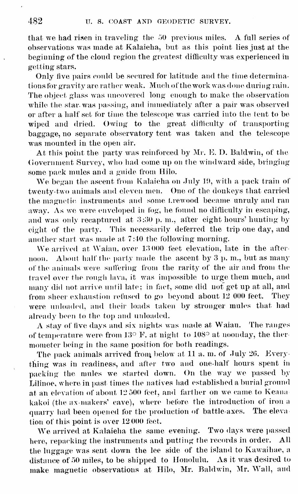that we had risen in traveling the <sup>50</sup> previous miles. A full series of observations was made atKalaieha, but as this point lies just at the beginning of the cloud region the greatest difficulty was experienced in getting stars.

Only five pairs could be secured for latitude and the time determinations for gravity are rather weak. Much of the work was done during rain. The object glass was uncovered long enough to make the observation while the star was passing, and immediately after a pair was observed or after a half set for time the telescope was carried into the tent to be wiped and dried. Owing to the great difficulty of transporting baggage, no separate observatory tent was taken and the telescope was mounted in the open air.

At this point the party was reinforced by Mr. E. D. Baldwin, of the Government Survey, who had come up on the windward side, bringing some pack mules and a guide from Hilo.

We began the ascent from Kalaieha on July 19, with a pack train of twenty-two animals and eleven men. One of the donkeys that carried the magnetic instruments and some Lrewood became unruly and ran away. As we were enveloped in fog, he found no difficulty in escaping, and was only recaptured at  $3:30$  p.m., after eight hours' hunting by eight of the party. This necessarily deferred the trip one day, and another start was made at 7:40 the following morning.

We arrived at Waiau, over <sup>13</sup> <sup>000</sup> feet elevation, late in the after noon. About half the party made the ascent by <sup>3</sup> p. m., but as many of the animals were suffering from the rarity of the air and from the travel over the rough lava, it was impossible to urge them much, and many did not arrive until late; in fact, some did not get up at all, and from sheer exhaustion refused to go beyond about <sup>12</sup> 000 feet. They were unloaded, and their loads taken by stronger mules that had already been to the top and unloaded.

A stay of five days and six nights was made at Waiau. The ranges of temperature were from  $13^{\circ}$  F, at night to  $108^{\circ}$  at noonday, the thermometer being in the same position for both readings.

The pack animals arrived from below at 11 a. m. of July 20. Everything was in readiness, and after two and one-half hours spent in packing the mules we started down. On the way we passed by Lilinoe, where in past times the natives had established a burial ground at an elevation of about <sup>12</sup> 500 feet, and farther on we came to Keana kakoi (the ax-makers' cave), where before the introduction of iron <sup>a</sup> quarry had been opened for the production of battle axes. The eleva tion of this point is over 12000 feet.

We arrived at Kalaieha the same evening. Two days were passed here, repacking the instruments and putting the records in order. All the luggage was sent down the lee side of the island to Kawaihae, a distance of 50 miles, to be shipped to Honolulu. As it was desired to make magnetic observations at Hilo, Mr. Baldwin, Mr. Wall, and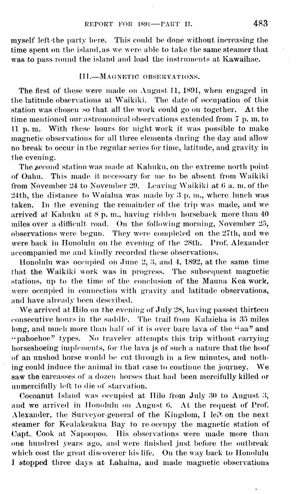myself left 'the party here. This could be done without increasing the time spent on the island, as we were able to take the same steamer that  $\qquad \qquad \blacksquare$ was to pass round the island and load the instruments at Kawaihae.

### III.--MAGNETIC OBSERVATIONS.

The first of these were made on August 11, 1891, when engaged in the latitude observations at Waikiki. The date of occupation of this station was chosen so that all the work could go on together. At the time mentioned our astronomical observations extended from 7 p.m. to <sup>11</sup> p. m.. With these hours for night work it was possible to make magnetic observations for all three elements during the day and allow no break to occur in the regular series for time, latitude, and gravity in the evening.

The second station was made at Kahuku, on the extreme north point of Oahu. This made it necessary for me tobe absent from Waikiki from November 24 to November 29. Leaving Waikiki at  $6$  a. m. of the 24th, the distance to Waialua was made by  $3$  p. m., where lunch was taken. In the evening the remainder of the trip was made, and we arrived at Kahuku at  $8$  p. m., having ridden horseback more than  $40$ miles over a difficult road. On the following morning, November 25, observations were begun. They were completed on the 27th, and we were back in Honolulu on the evening of the 28th. Prof. Alexander accompanied me and kindly recorded these observations.

Honolulu was occupied on June 2, 3, and 4, 1892, at the same time that the Waikiki work was in progress. The subsequent magnetic stations, up to the time of the conclusion of the Mauna Kea work, were occupied in connection with gravity and latitude observations, and have already been described.

We arrived at Hilo on the evening of July 28, having passed thirteen consecutive hours in the saddle. The trail from Kalaieha is 35 miles long, and much more than half of it is over bare lava of the "aa" and "pahoehoe" types. No traveler attempts this trip without earrying horseshoeing implements, for the lava is of such a nature that the hoof of an unshod horse would be cut through in a few minutes, and nothing could induce the animal in that case to continue the journey. We saw the carcasses of a dozen horses that had been mercifully killed or unmercifully left to die of starvation.

Cocoanut Island was occupied at Hilo from July 30 to August 3, and we arrived in Honolulu on August 6. At the request of Prof. Alexander, the Surveyor-general of the Kingdom, I left on the next steamer for Kealakeakua Bay to re occupy the magnetic station of Capt. Cook at Napoopoo. His observations were made more than one hundred years ago, and were finished just before the outbreak which cost the great discoverer his life. On the way back to Honolulu <sup>J</sup> stopped three days at Lahaina, and made magnetic observations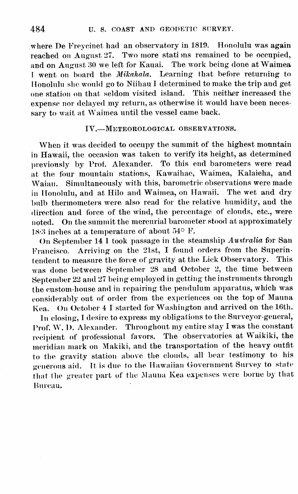where De Freycinet had an observatory in 1819. Honolulu was again reached on August  $27$ . Two more stations remained to be occupied, and on August <sup>30</sup> we left for Kauai. The work being done at Waimea I went on board the Mikahala. Learning that before returning to Honolulu she would go to Mihau <sup>I</sup> determined to make the trip and get one station on that seldom visited island. This neither increased the expense nor delayed my return, as otherwise it would have been necessary to wait at Waimea until the vessel came back.

### IV. Meteorological observations.

When it was decided to occupy the summit of the highest mountain in Hawaii, the occasion was taken to verify its height, as determined previously by Prof. Alexander. To this end barometers were read at the four mountain stations, Kawaihae, Waimea, Kalaieha, and Waiau. Simultaneously with this, barometric observations were made in Honolulu, and at Hilo and Waimea, on Hawaii. The wet and dry bulb thermometers were also read for the relative humidity, and the direction and force of the wind, the percentage of clouds, etc., were noted. On the summit the mercurial barometer stood at approximately 18-3 inches at a temperature of about 54° F.

On September 14 <sup>1</sup> took passage in the steamship Australia for San Francisco. Arriving on the 21st, I found orders from the Superin-<br>tondent to measure the force of gravity at the Lick Observatory. This tendent to measure the force of gravity at the Lick Observatory. was done between September 28 and October 2, the time between September 22 and 27 being employed in getting the instruments through the custom-house and in repairing the pendulum apparatus, which was considerably out of order from the experiences on the top of Maun<sup>a</sup> Kea. On October <sup>4</sup> <sup>1</sup> started for Washington and arrived on the 16th.

In closing, <sup>I</sup> desire to express my obligations to the Surveyor-general, Prof. W. I). Alexander. Throughout my entire stay <sup>I</sup> was the constant recipient of professional favors. The observatories at Waikiki, the meridian mark on Makiki, and the transportation of the heavy outfit to the gravity station above the clouds, all bear testimony to his generous aid. It is due to the Hawaiian Government Survey to state that the greater part of the Mauua Kea expenses were borne by that Bureau.